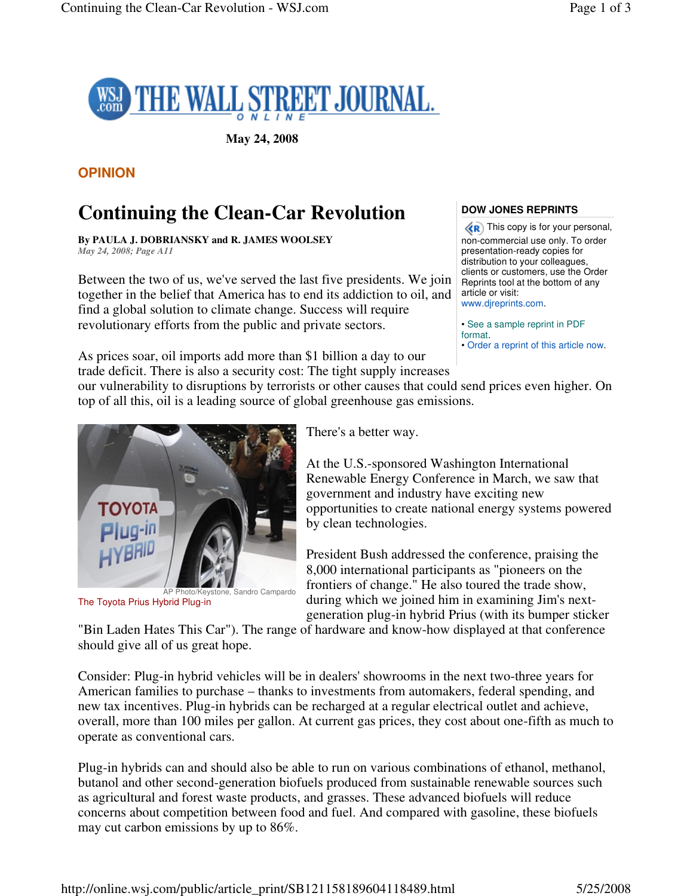

**May 24, 2008** 

# **OPINION**

# **Continuing the Clean-Car Revolution**

**By PAULA J. DOBRIANSKY and R. JAMES WOOLSEY**  *May 24, 2008; Page A11*

Between the two of us, we've served the last five presidents. We join together in the belief that America has to end its addiction to oil, and find a global solution to climate change. Success will require revolutionary efforts from the public and private sectors.

As prices soar, oil imports add more than \$1 billion a day to our trade deficit. There is also a security cost: The tight supply increases

### **DOW JONES REPRINTS**

**KR** This copy is for your personal, non-commercial use only. To order presentation-ready copies for distribution to your colleagues, clients or customers, use the Order Reprints tool at the bottom of any article or visit: www.djreprints.com.

• See a sample reprint in PDF format. • Order a reprint of this article now.

our vulnerability to disruptions by terrorists or other causes that could send prices even higher. On top of all this, oil is a leading source of global greenhouse gas emissions.



The Toyota Prius Hybrid Plug-in

There's a better way.

At the U.S.-sponsored Washington International Renewable Energy Conference in March, we saw that government and industry have exciting new opportunities to create national energy systems powered by clean technologies.

President Bush addressed the conference, praising the 8,000 international participants as "pioneers on the frontiers of change." He also toured the trade show, during which we joined him in examining Jim's nextgeneration plug-in hybrid Prius (with its bumper sticker

"Bin Laden Hates This Car"). The range of hardware and know-how displayed at that conference should give all of us great hope.

Consider: Plug-in hybrid vehicles will be in dealers' showrooms in the next two-three years for American families to purchase – thanks to investments from automakers, federal spending, and new tax incentives. Plug-in hybrids can be recharged at a regular electrical outlet and achieve, overall, more than 100 miles per gallon. At current gas prices, they cost about one-fifth as much to operate as conventional cars.

Plug-in hybrids can and should also be able to run on various combinations of ethanol, methanol, butanol and other second-generation biofuels produced from sustainable renewable sources such as agricultural and forest waste products, and grasses. These advanced biofuels will reduce concerns about competition between food and fuel. And compared with gasoline, these biofuels may cut carbon emissions by up to 86%.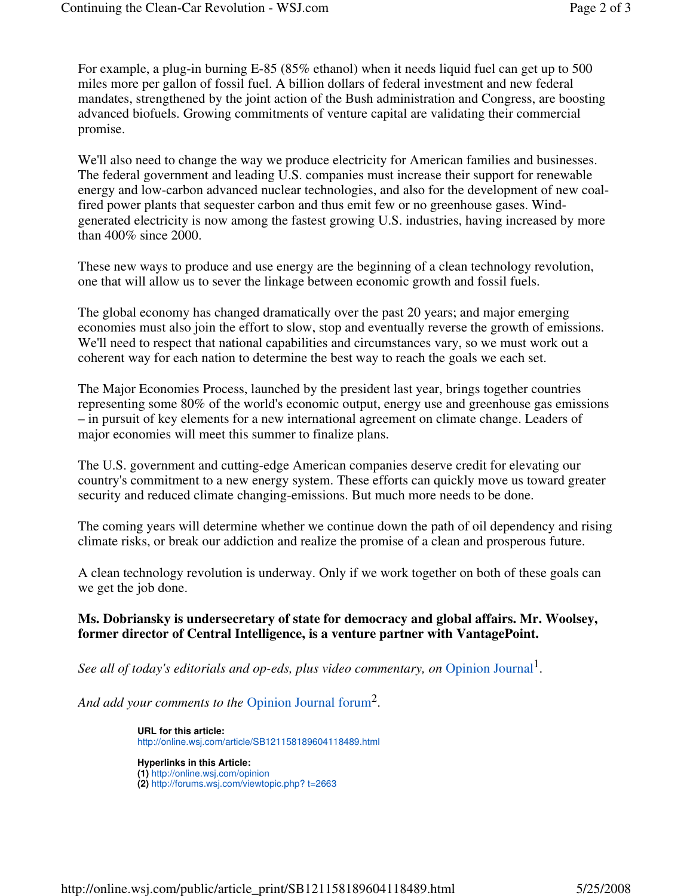For example, a plug-in burning E-85 (85% ethanol) when it needs liquid fuel can get up to 500 miles more per gallon of fossil fuel. A billion dollars of federal investment and new federal mandates, strengthened by the joint action of the Bush administration and Congress, are boosting advanced biofuels. Growing commitments of venture capital are validating their commercial promise.

We'll also need to change the way we produce electricity for American families and businesses. The federal government and leading U.S. companies must increase their support for renewable energy and low-carbon advanced nuclear technologies, and also for the development of new coalfired power plants that sequester carbon and thus emit few or no greenhouse gases. Windgenerated electricity is now among the fastest growing U.S. industries, having increased by more than 400% since 2000.

These new ways to produce and use energy are the beginning of a clean technology revolution, one that will allow us to sever the linkage between economic growth and fossil fuels.

The global economy has changed dramatically over the past 20 years; and major emerging economies must also join the effort to slow, stop and eventually reverse the growth of emissions. We'll need to respect that national capabilities and circumstances vary, so we must work out a coherent way for each nation to determine the best way to reach the goals we each set.

The Major Economies Process, launched by the president last year, brings together countries representing some 80% of the world's economic output, energy use and greenhouse gas emissions – in pursuit of key elements for a new international agreement on climate change. Leaders of major economies will meet this summer to finalize plans.

The U.S. government and cutting-edge American companies deserve credit for elevating our country's commitment to a new energy system. These efforts can quickly move us toward greater security and reduced climate changing-emissions. But much more needs to be done.

The coming years will determine whether we continue down the path of oil dependency and rising climate risks, or break our addiction and realize the promise of a clean and prosperous future.

A clean technology revolution is underway. Only if we work together on both of these goals can we get the job done.

# **Ms. Dobriansky is undersecretary of state for democracy and global affairs. Mr. Woolsey, former director of Central Intelligence, is a venture partner with VantagePoint.**

See all of today's editorials and op-eds, plus video commentary, on Opinion Journal<sup>1</sup>.

And add your comments to the Opinion Journal forum<sup>2</sup>.

**URL for this article:** http://online.wsj.com/article/SB121158189604118489.html

**Hyperlinks in this Article: (1)** http://online.wsj.com/opinion **(2)** http://forums.wsj.com/viewtopic.php? t=2663